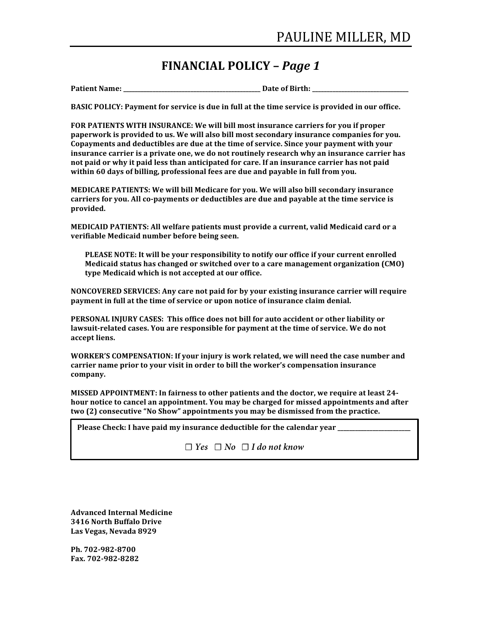## **FINANCIAL POLICY –** *Page 1*

**Patient Name: \_\_\_\_\_\_\_\_\_\_\_\_\_\_\_\_\_\_\_\_\_\_\_\_\_\_\_\_\_\_\_\_\_\_\_\_\_\_\_\_\_\_\_\_\_\_\_ Date of Birth: \_\_\_\_\_\_\_\_\_\_\_\_\_\_\_\_\_\_\_\_\_\_\_\_\_\_\_\_\_\_\_\_\_**

**BASIC POLICY: Payment for service is due in full at the time service is provided in our office.** 

FOR PATIENTS WITH INSURANCE: We will bill most insurance carriers for you if proper paperwork is provided to us. We will also bill most secondary insurance companies for you. Copayments and deductibles are due at the time of service. Since your payment with your insurance carrier is a private one, we do not routinely research why an insurance carrier has not paid or why it paid less than anticipated for care. If an insurance carrier has not paid within 60 days of billing, professional fees are due and payable in full from you.

**MEDICARE PATIENTS: We will bill Medicare for you. We will also bill secondary insurance** carriers for you. All co-payments or deductibles are due and payable at the time service is **provided.**

**MEDICAID** PATIENTS: All welfare patients must provide a current, valid Medicaid card or a **verifiable Medicaid number before being seen.**

PLEASE NOTE: It will be your responsibility to notify our office if your current enrolled **Medicaid status has changed or switched over to a care management organization (CMO)** type Medicaid which is not accepted at our office.

**NONCOVERED SERVICES: Any care not paid for by your existing insurance carrier will require** payment in full at the time of service or upon notice of insurance claim denial.

**PERSONAL INJURY CASES: This office does not bill for auto accident or other liability or** lawsuit-related cases. You are responsible for payment at the time of service. We do not **accept liens.**

**WORKER'S COMPENSATION: If your injury is work related, we will need the case number and** carrier name prior to your visit in order to bill the worker's compensation insurance **company.**

**MISSED APPOINTMENT: In fairness to other patients and the doctor, we require at least 24**hour notice to cancel an appointment. You may be charged for missed appointments and after **two** (2) consecutive "No Show" appointments you may be dismissed from the practice.

**Please Check: I have paid my insurance deductible for the calendar year** 

**☐** *Yes* **☐** *No* **☐** *I do not know*

**Advanced Internal Medicine 3416 North Buffalo Drive** Las Vegas, Nevada 8929

**Ph. 702-982-8700 Fax. 702-982-8282**